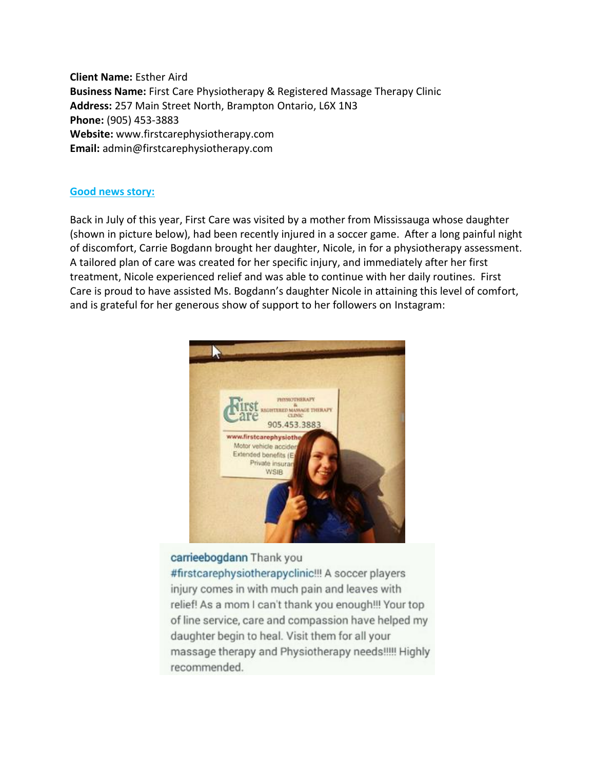**Client Name:** Esther Aird **Business Name:** First Care Physiotherapy & Registered Massage Therapy Clinic **Address:** 257 Main Street North, Brampton Ontario, L6X 1N3 **Phone:** (905) 453-3883 **Website:** www.firstcarephysiotherapy.com **Email:** admin@firstcarephysiotherapy.com

### **Good news story:**

Back in July of this year, First Care was visited by a mother from Mississauga whose daughter (shown in picture below), had been recently injured in a soccer game. After a long painful night of discomfort, Carrie Bogdann brought her daughter, Nicole, in for a physiotherapy assessment. A tailored plan of care was created for her specific injury, and immediately after her first treatment, Nicole experienced relief and was able to continue with her daily routines. First Care is proud to have assisted Ms. Bogdann's daughter Nicole in attaining this level of comfort, and is grateful for her generous show of support to her followers on Instagram:



## carrieebogdann Thank you

#firstcarephysiotherapyclinic!!! A soccer players injury comes in with much pain and leaves with relief! As a mom I can't thank you enough!!! Your top of line service, care and compassion have helped my daughter begin to heal. Visit them for all your massage therapy and Physiotherapy needs!!!!! Highly recommended.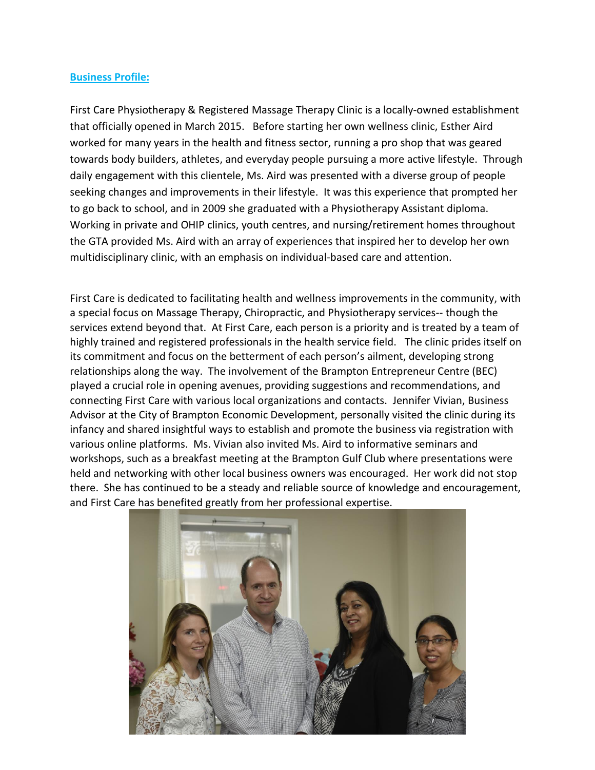#### **Business Profile:**

First Care Physiotherapy & Registered Massage Therapy Clinic is a locally-owned establishment that officially opened in March 2015. Before starting her own wellness clinic, Esther Aird worked for many years in the health and fitness sector, running a pro shop that was geared towards body builders, athletes, and everyday people pursuing a more active lifestyle. Through daily engagement with this clientele, Ms. Aird was presented with a diverse group of people seeking changes and improvements in their lifestyle. It was this experience that prompted her to go back to school, and in 2009 she graduated with a Physiotherapy Assistant diploma. Working in private and OHIP clinics, youth centres, and nursing/retirement homes throughout the GTA provided Ms. Aird with an array of experiences that inspired her to develop her own multidisciplinary clinic, with an emphasis on individual-based care and attention.

First Care is dedicated to facilitating health and wellness improvements in the community, with a special focus on Massage Therapy, Chiropractic, and Physiotherapy services-- though the services extend beyond that. At First Care, each person is a priority and is treated by a team of highly trained and registered professionals in the health service field. The clinic prides itself on its commitment and focus on the betterment of each person's ailment, developing strong relationships along the way. The involvement of the Brampton Entrepreneur Centre (BEC) played a crucial role in opening avenues, providing suggestions and recommendations, and connecting First Care with various local organizations and contacts. Jennifer Vivian, Business Advisor at the City of Brampton Economic Development, personally visited the clinic during its infancy and shared insightful ways to establish and promote the business via registration with various online platforms. Ms. Vivian also invited Ms. Aird to informative seminars and workshops, such as a breakfast meeting at the Brampton Gulf Club where presentations were held and networking with other local business owners was encouraged. Her work did not stop there. She has continued to be a steady and reliable source of knowledge and encouragement, and First Care has benefited greatly from her professional expertise.